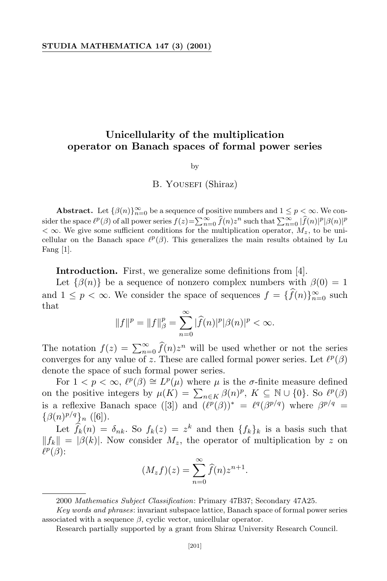## **Unicellularity of the multiplication operator on Banach spaces of formal power series**

by

## B. YOUSEFI (Shiraz)

**Abstract.** Let  $\{\beta(n)\}_{n=0}^{\infty}$  be a sequence of positive numbers and  $1 \leq p < \infty$ . We consider the space  $\ell^p(\beta)$  of all power series  $f(z) = \sum_{n=0}^{\infty} \widehat{f}(n) z^n$  such that  $\sum_{n=0}^{\infty} |\widehat{f}(n)|^p |\beta(n)|^p$  $<\infty$ . We give some sufficient conditions for the multiplication operator,  $M_z$ , to be unicellular on the Banach space  $\ell^p(\beta)$ . This generalizes the main results obtained by Lu Fang [1].

**Introduction.** First, we generalize some definitions from [4].

Let  $\{\beta(n)\}\$ be a sequence of nonzero complex numbers with  $\beta(0) = 1$ and  $1 \leq p < \infty$ . We consider the space of sequences  $f = \{f(n)\}_{n=0}^{\infty}$  such that

$$
||f||^{p} = ||f||_{\beta}^{p} = \sum_{n=0}^{\infty} |\widehat{f}(n)|^{p} |\beta(n)|^{p} < \infty.
$$

The notation  $f(z) = \sum_{n=0}^{\infty} \hat{f}(n)z^n$  will be used whether or not the series converges for any value of *z*. These are called formal power series. Let  $\ell^p(\beta)$ denote the space of such formal power series.

For  $1 < p < \infty$ ,  $\ell^p(\beta) \cong L^p(\mu)$  where  $\mu$  is the  $\sigma$ -finite measure defined on the positive integers by  $\mu(K) = \sum_{n \in K} \beta(n)^p$ ,  $K \subseteq \mathbb{N} \cup \{0\}$ . So  $\ell^p(\beta)$ is a reflexive Banach space ([3]) and  $(\ell^p(\beta))^* = \ell^q(\beta^{p/q})$  where  $\beta^{p/q} =$  $\{\beta(n)^{p/q}\}_n$  ([6]).

Let  $f_k(n) = \delta_{nk}$ . So  $f_k(z) = z^k$  and then  $\{f_k\}_k$  is a basis such that  $||f_k|| = |\beta(k)|$ . Now consider  $M_z$ , the operator of multiplication by *z* on  $\ell^p(\beta)$ :

$$
(M_z f)(z) = \sum_{n=0}^{\infty} \widehat{f}(n) z^{n+1}.
$$

<sup>2000</sup> *Mathematics Subject Classification*: Primary 47B37; Secondary 47A25.

*Key words and phrases*: invariant subspace lattice, Banach space of formal power series associated with a sequence  $\beta$ , cyclic vector, unicellular operator.

Research partially supported by a grant from Shiraz University Research Council.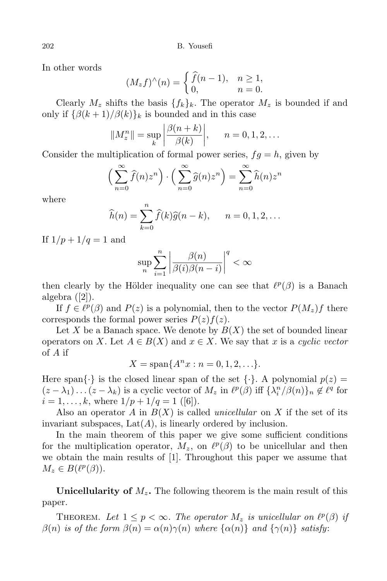202 B. Yousefi

In other words

$$
(M_z f)^\wedge(n) = \begin{cases} \widehat{f}(n-1), & n \ge 1, \\ 0, & n = 0. \end{cases}
$$

Clearly  $M_z$  shifts the basis  $\{f_k\}_k$ . The operator  $M_z$  is bounded if and only if  ${\beta(k+1)/\beta(k)}_k$  is bounded and in this case

$$
||M_z^n|| = \sup_k \left| \frac{\beta(n+k)}{\beta(k)} \right|, \quad n = 0, 1, 2, ...
$$

Consider the multiplication of formal power series,  $fq = h$ , given by

$$
\left(\sum_{n=0}^{\infty} \widehat{f}(n)z^n\right) \cdot \left(\sum_{n=0}^{\infty} \widehat{g}(n)z^n\right) = \sum_{n=0}^{\infty} \widehat{h}(n)z^n
$$

where

$$
\widehat{h}(n) = \sum_{k=0}^{n} \widehat{f}(k)\widehat{g}(n-k), \qquad n = 0, 1, 2, \dots
$$

If  $1/p + 1/q = 1$  and

$$
\sup_{n}\sum_{i=1}^{n}\left|\frac{\beta(n)}{\beta(i)\beta(n-i)}\right|^{q}<\infty
$$

then clearly by the Hölder inequality one can see that  $\ell^p(\beta)$  is a Banach algebra ([2]).

If  $f \in \ell^p(\beta)$  and  $P(z)$  is a polynomial, then to the vector  $P(M_z)f$  there corresponds the formal power series  $P(z)f(z)$ .

Let X be a Banach space. We denote by  $B(X)$  the set of bounded linear operators on *X*. Let  $A \in B(X)$  and  $x \in X$ . We say that *x* is a *cyclic vector* of *A* if

$$
X = \text{span}\{A^n x : n = 0, 1, 2, \ldots\}.
$$

Here span $\{\cdot\}$  is the closed linear span of the set  $\{\cdot\}$ . A polynomial  $p(z)$  $(z - \lambda_1) \dots (z - \lambda_k)$  is a cyclic vector of  $M_z$  in  $\ell^p(\beta)$  iff  $\{\lambda_i^n/\beta(n)\}_n \not\in \ell^q$  for  $i = 1, \ldots, k$ , where  $1/p + 1/q = 1$  ([6]).

Also an operator *A* in  $B(X)$  is called *unicellular* on X if the set of its invariant subspaces,  $Lat(A)$ , is linearly ordered by inclusion.

In the main theorem of this paper we give some sufficient conditions for the multiplication operator,  $M_z$ , on  $\ell^p(\beta)$  to be unicellular and then we obtain the main results of [1]. Throughout this paper we assume that  $M_z \in B(\ell^p(\beta)).$ 

**Unicellularity of** *Mz***.** The following theorem is the main result of this paper.

THEOREM. Let  $1 \leq p < \infty$ . The operator  $M_z$  is unicellular on  $\ell^p(\beta)$  if  $\beta(n)$  is of the form  $\beta(n) = \alpha(n)\gamma(n)$  where  $\{\alpha(n)\}\$  and  $\{\gamma(n)\}\$  satisfy: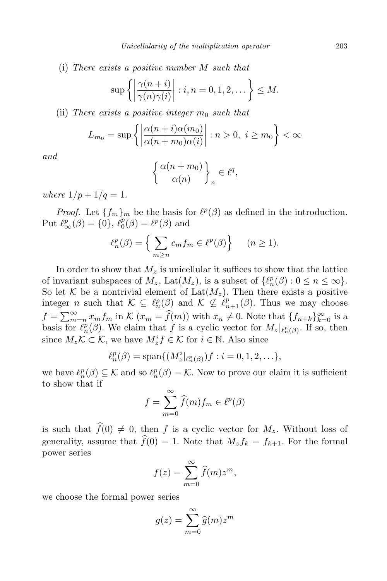(i) *There exists a positive number M such that*

$$
\sup \left\{ \left| \frac{\gamma(n+i)}{\gamma(n)\gamma(i)} \right| : i, n = 0, 1, 2, \dots \right\} \le M.
$$

(ii) *There exists* a *positive integer*  $m_0$  *such that* 

$$
L_{m_0} = \sup \left\{ \left| \frac{\alpha(n+i)\alpha(m_0)}{\alpha(n+m_0)\alpha(i)} \right| : n > 0, i \ge m_0 \right\} < \infty
$$

*and*

$$
\left\{\frac{\alpha(n+m_0)}{\alpha(n)}\right\}_n\in\ell^q,
$$

*where*  $1/p + 1/q = 1$ *.* 

*Proof.* Let  ${f_m}_m$  be the basis for  $\ell^p(\beta)$  as defined in the introduction. Put  $\ell_{\infty}^p(\beta) = \{0\}, \, \ell_0^p(\beta) = \ell^p(\beta)$  and

$$
\ell_n^p(\beta) = \left\{ \sum_{m \ge n} c_m f_m \in \ell^p(\beta) \right\} \quad (n \ge 1).
$$

In order to show that  $M_z$  is unicellular it suffices to show that the lattice of invariant subspaces of  $M_z$ , Lat $(M_z)$ , is a subset of  $\{\ell_n^p(\beta): 0 \leq n \leq \infty\}$ . So let *K* be a nontrivial element of  $Lat(M_z)$ . Then there exists a positive integer *n* such that  $K \subseteq \ell_n^p(\beta)$  and  $K \nsubseteq \ell_{n+1}^p(\beta)$ . Thus we may choose  $f = \sum_{m=n}^{\infty} x_m f_m$  in  $K(x_m = \hat{f}(m))$  with  $x_n \neq 0$ . Note that  $\{f_{n+k}\}_{k=0}^{\infty}$  is a basis for  $\ell_n^p(\beta)$ . We claim that *f* is a cyclic vector for  $M_z|_{\ell_n^p(\beta)}$ . If so, then since  $M_z K \subset K$ , we have  $M_z^i f \in K$  for  $i \in \mathbb{N}$ . Also since

$$
\ell_n^p(\beta) = \text{span}\{(M_z^i|_{\ell_n^p(\beta)})f : i = 0, 1, 2, \ldots\},\
$$

we have  $\ell_n^p(\beta) \subseteq \mathcal{K}$  and so  $\ell_n^p(\beta) = \mathcal{K}$ . Now to prove our claim it is sufficient to show that if

$$
f = \sum_{m=0}^{\infty} \widehat{f}(m) f_m \in \ell^p(\beta)
$$

is such that  $\widehat{f}(0) \neq 0$ , then *f* is a cyclic vector for  $M_z$ . Without loss of generality, assume that  $\widehat{f}(0) = 1$ . Note that  $M_z f_k = f_{k+1}$ . For the formal power series

$$
f(z) = \sum_{m=0}^{\infty} \hat{f}(m) z^m,
$$

we choose the formal power series

$$
g(z) = \sum_{m=0}^{\infty} \widehat{g}(m) z^m
$$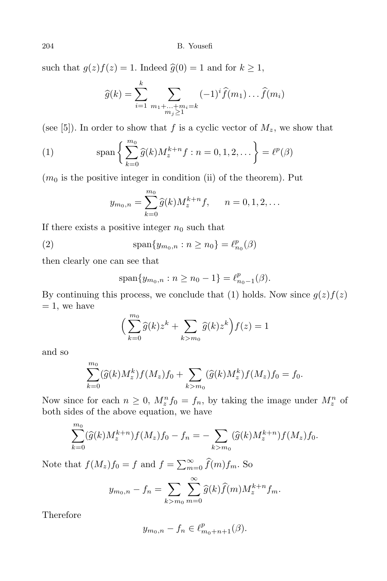such that  $g(z)f(z) = 1$ . Indeed  $\hat{g}(0) = 1$  and for  $k \geq 1$ ,

$$
\widehat{g}(k) = \sum_{i=1}^k \sum_{\substack{m_1 + \dots + m_i = k \\ m_j \ge 1}} (-1)^i \widehat{f}(m_1) \dots \widehat{f}(m_i)
$$

(see [5]). In order to show that  $f$  is a cyclic vector of  $M_z$ , we show that

(1) 
$$
\text{span}\left\{\sum_{k=0}^{m_0} \widehat{g}(k) M_z^{k+n} f : n = 0, 1, 2, ... \right\} = \ell^p(\beta)
$$

 $(m_0)$  is the positive integer in condition (ii) of the theorem). Put

$$
y_{m_0,n} = \sum_{k=0}^{m_0} \widehat{g}(k) M_z^{k+n} f, \quad n = 0, 1, 2, \dots
$$

If there exists a positive integer  $n_0$  such that

(2) 
$$
\text{span}\{y_{m_0,n} : n \ge n_0\} = \ell_{n_0}^p(\beta)
$$

then clearly one can see that

$$
\text{span}\{y_{m_0,n} : n \ge n_0 - 1\} = \ell^p_{n_0-1}(\beta).
$$

By continuing this process, we conclude that (1) holds. Now since  $g(z)f(z)$  $= 1$ , we have

$$
\Big(\sum_{k=0}^{m_0}\widehat g(k)z^k+\sum_{k>m_0}\widehat g(k)z^k\Big)f(z)=1
$$

and so

$$
\sum_{k=0}^{m_0} (\widehat{g}(k)M_z^k) f(M_z) f_0 + \sum_{k > m_0} (\widehat{g}(k)M_z^k) f(M_z) f_0 = f_0.
$$

Now since for each  $n \geq 0$ ,  $M_z^n f_0 = f_n$ , by taking the image under  $M_z^n$  of both sides of the above equation, we have

$$
\sum_{k=0}^{m_0} (\widehat{g}(k)M_z^{k+n}) f(M_z) f_0 - f_n = - \sum_{k > m_0} (\widehat{g}(k)M_z^{k+n}) f(M_z) f_0.
$$

Note that  $f(M_z)f_0 = f$  and  $f = \sum_{m=0}^{\infty} \hat{f}(m)f_m$ . So

$$
y_{m_0,n} - f_n = \sum_{k > m_0} \sum_{m=0}^{\infty} \hat{g}(k) \hat{f}(m) M_z^{k+n} f_m.
$$

Therefore

$$
y_{m_0,n} - f_n \in \ell^p_{m_0+n+1}(\beta).
$$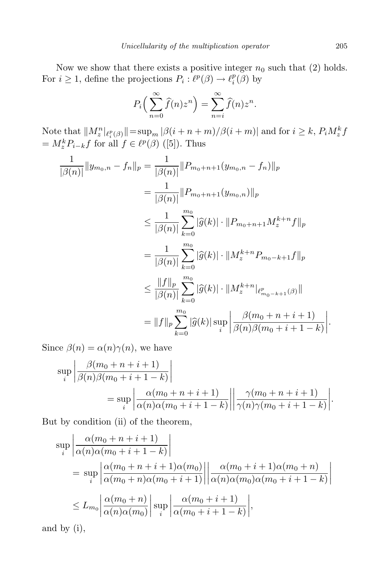Now we show that there exists a positive integer  $n_0$  such that (2) holds. For  $i \geq 1$ , define the projections  $P_i : \ell^p(\beta) \to \ell^p_i$  $\binom{p}{i}$  by

$$
P_i\left(\sum_{n=0}^{\infty}\widehat{f}(n)z^n\right)=\sum_{n=i}^{\infty}\widehat{f}(n)z^n.
$$

Note that  $||M_z^n|_{\ell_i^p(\beta)}|| = \sup_m |\beta(i+n+m)/\beta(i+m)|$  and for  $i \geq k$ ,  $P_i M_z^k f$  $=M_z^k P_{i-k} f$  for all  $f \in \ell^p(\beta)$  ([5]). Thus

$$
\frac{1}{|\beta(n)|} \|y_{m_0,n} - f_n\|_p = \frac{1}{|\beta(n)|} \|P_{m_0+n+1}(y_{m_0,n} - f_n)\|_p
$$
  
\n
$$
= \frac{1}{|\beta(n)|} \|P_{m_0+n+1}(y_{m_0,n})\|_p
$$
  
\n
$$
\leq \frac{1}{|\beta(n)|} \sum_{k=0}^{m_0} |\widehat{g}(k)| \cdot \|P_{m_0+n+1} M_z^{k+n} f\|_p
$$
  
\n
$$
= \frac{1}{|\beta(n)|} \sum_{k=0}^{m_0} |\widehat{g}(k)| \cdot \|M_z^{k+n} P_{m_0-k+1} f\|_p
$$
  
\n
$$
\leq \frac{\|f\|_p}{|\beta(n)|} \sum_{k=0}^{m_0} |\widehat{g}(k)| \cdot \|M_z^{k+n}|_{\ell_{m_0-k+1}^p(\beta)}\|
$$
  
\n
$$
= \|f\|_p \sum_{k=0}^{m_0} |\widehat{g}(k)| \sup_i \left| \frac{\beta(m_0+n+i+1)}{\beta(n)\beta(m_0+i+1-k)} \right|.
$$

Since  $\beta(n) = \alpha(n)\gamma(n)$ , we have

$$
\sup_{i} \left| \frac{\beta(m_0 + n + i + 1)}{\beta(n)\beta(m_0 + i + 1 - k)} \right|
$$
  
= 
$$
\sup_{i} \left| \frac{\alpha(m_0 + n + i + 1)}{\alpha(n)\alpha(m_0 + i + 1 - k)} \right| \left| \frac{\gamma(m_0 + n + i + 1)}{\gamma(n)\gamma(m_0 + i + 1 - k)} \right|.
$$

But by condition (ii) of the theorem,

$$
\sup_{i} \left| \frac{\alpha(m_0 + n + i + 1)}{\alpha(n)\alpha(m_0 + i + 1 - k)} \right|
$$
\n
$$
= \sup_{i} \left| \frac{\alpha(m_0 + n + i + 1)\alpha(m_0)}{\alpha(m_0 + n)\alpha(m_0 + i + 1)} \right| \left| \frac{\alpha(m_0 + i + 1)\alpha(m_0 + n)}{\alpha(n)\alpha(m_0)\alpha(m_0 + i + 1 - k)} \right|
$$
\n
$$
\leq L_{m_0} \left| \frac{\alpha(m_0 + n)}{\alpha(n)\alpha(m_0)} \right| \sup_{i} \left| \frac{\alpha(m_0 + i + 1)}{\alpha(m_0 + i + 1 - k)} \right|,
$$

and by (i),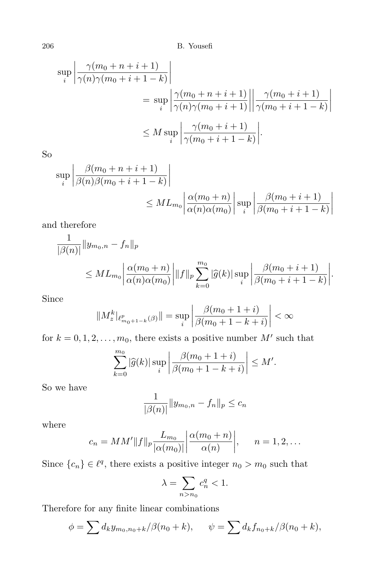206 B. Yousefi

$$
\sup_{i} \left| \frac{\gamma(m_0 + n + i + 1)}{\gamma(n)\gamma(m_0 + i + 1 - k)} \right|
$$
  
= 
$$
\sup_{i} \left| \frac{\gamma(m_0 + n + i + 1)}{\gamma(n)\gamma(m_0 + i + 1)} \right| \left| \frac{\gamma(m_0 + i + 1)}{\gamma(m_0 + i + 1 - k)} \right|
$$
  

$$
\leq M \sup_{i} \left| \frac{\gamma(m_0 + i + 1)}{\gamma(m_0 + i + 1 - k)} \right|.
$$

So

$$
\sup_{i} \left| \frac{\beta(m_0 + n + i + 1)}{\beta(n)\beta(m_0 + i + 1 - k)} \right|
$$
  
 
$$
\leq ML_{m_0} \left| \frac{\alpha(m_0 + n)}{\alpha(n)\alpha(m_0)} \right| \sup_{i} \left| \frac{\beta(m_0 + i + 1)}{\beta(m_0 + i + 1 - k)} \right|
$$

and therefore

$$
\frac{1}{|\beta(n)|} \|y_{m_0,n} - f_n\|_p
$$
  
\n
$$
\leq ML_{m_0} \left| \frac{\alpha(m_0 + n)}{\alpha(n)\alpha(m_0)} \right| \|f\|_p \sum_{k=0}^{m_0} |\widehat{g}(k)| \sup_i \left| \frac{\beta(m_0 + i + 1)}{\beta(m_0 + i + 1 - k)} \right|.
$$

Since

$$
||M_z^k|_{\ell^p_{m_0+1-k}(\beta)}|| = \sup_i \left| \frac{\beta(m_0+1+i)}{\beta(m_0+1-k+i)} \right| < \infty
$$

for  $k = 0, 1, 2, \ldots, m_0$ , there exists a positive number  $M'$  such that

$$
\sum_{k=0}^{m_0} |\widehat{g}(k)| \sup_i \left| \frac{\beta(m_0 + 1 + i)}{\beta(m_0 + 1 - k + i)} \right| \le M'.
$$

So we have

$$
\frac{1}{|\beta(n)|} \|y_{m_0,n} - f_n\|_p \le c_n
$$

where

$$
c_n = MM'\|f\|_p \frac{L_{m_0}}{|\alpha(m_0)|} \left| \frac{\alpha(m_0 + n)}{\alpha(n)} \right|, \quad n = 1, 2, \dots
$$

Since  ${c_n} \in \ell^q$ , there exists a positive integer  $n_0 > m_0$  such that

$$
\lambda = \sum_{n>n_0} c_n^q < 1.
$$

Therefore for any finite linear combinations

$$
\phi = \sum d_k y_{m_0, n_0 + k} / \beta(n_0 + k), \quad \psi = \sum d_k f_{n_0 + k} / \beta(n_0 + k),
$$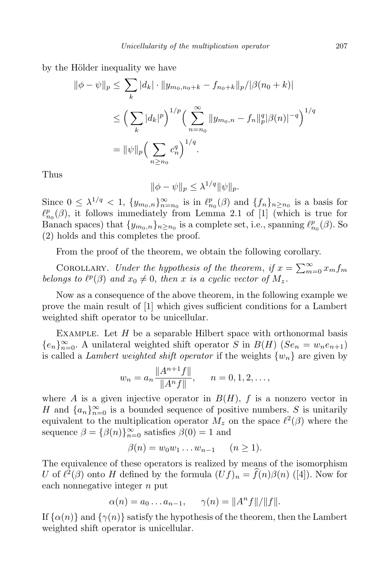by the Hölder inequality we have

$$
\|\phi - \psi\|_{p} \leq \sum_{k} |d_{k}| \cdot \|y_{m_{0},n_{0}+k} - f_{n_{0}+k}\|_{p} / |\beta(n_{0}+k)|
$$
  

$$
\leq \Big(\sum_{k} |d_{k}|^{p}\Big)^{1/p} \Big(\sum_{n=n_{0}}^{\infty} \|y_{m_{0},n} - f_{n}\|_{p}^{q} |\beta(n)|^{-q}\Big)^{1/q}
$$
  

$$
= \|\psi\|_{p} \Big(\sum_{n\geq n_{0}} c_{n}^{q}\Big)^{1/q}.
$$

Thus

$$
\|\phi - \psi\|_p \leq \lambda^{1/q} \|\psi\|_p.
$$

Since  $0 \leq \lambda^{1/q} < 1$ ,  $\{y_{m_0,n}\}_{n=m_0}^{\infty}$  is in  $\ell_{n_0}^p(\beta)$  and  $\{f_n\}_{n \geq n_0}$  is a basis for  $\ell_{n_0}^p(\beta)$ , it follows immediately from Lemma 2.1 of [1] (which is true for Banach spaces) that  $\{y_{m_0,n}\}_{n \ge n_0}$  is a complete set, i.e., spanning  $\ell_{n_0}^p(\beta)$ . So (2) holds and this completes the proof.

From the proof of the theorem, we obtain the following corollary.

COROLLARY. *Under the hypothesis of the theorem, if*  $x = \sum_{m=0}^{\infty} x_m f_m$ *belongs to*  $\ell^p(\beta)$  *and*  $x_0 \neq 0$ *, then x is a cyclic vector of*  $M_z$ *.* 

Now as a consequence of the above theorem, in the following example we prove the main result of [1] which gives sufficient conditions for a Lambert weighted shift operator to be unicellular.

Example. Let *H* be a separable Hilbert space with orthonormal basis  ${e_n}_{n=0}^{\infty}$ . A unilateral weighted shift operator *S* in *B*(*H*) (*Se<sub>n</sub>* = *w<sub>n</sub>e<sub>n+1</sub>*) is called a *Lambert* weighted *shift* operator if the weights  $\{w_n\}$  are given by

$$
w_n = a_n \frac{\|A^{n+1}f\|}{\|A^n f\|}, \qquad n = 0, 1, 2, \dots,
$$

where *A* is a given injective operator in  $B(H)$ , *f* is a nonzero vector in *H* and  $\{a_n\}_{n=0}^{\infty}$  is a bounded sequence of positive numbers. *S* is unitarily equivalent to the multiplication operator  $M_z$  on the space  $\ell^2(\beta)$  where the sequence  $\beta = {\beta(n)}_{n=0}^{\infty}$  satisfies  $\beta(0) = 1$  and

$$
\beta(n) = w_0 w_1 \dots w_{n-1} \qquad (n \ge 1).
$$

The equivalence of these operators is realized by means of the isomorphism *U* of  $\ell^2(\beta)$  onto *H* defined by the formula  $(Uf)_n = \hat{f}(n)\beta(n)$  ([4]). Now for each nonnegative integer *n* put

$$
\alpha(n) = a_0 ... a_{n-1}, \quad \gamma(n) = ||A^n f|| / ||f||.
$$

If  $\{\alpha(n)\}\$  and  $\{\gamma(n)\}\$  satisfy the hypothesis of the theorem, then the Lambert weighted shift operator is unicellular.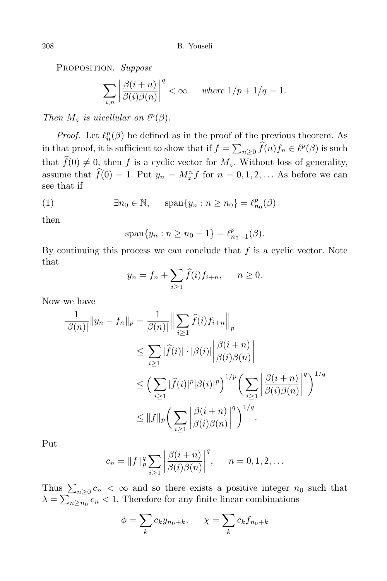Proposition. *Suppose*

$$
\sum_{i,n} \left| \frac{\beta(i+n)}{\beta(i)\beta(n)} \right|^q < \infty \qquad \text{where } 1/p + 1/q = 1.
$$

*Then*  $M_z$  *is uicellular on*  $\ell^p(\beta)$ *.* 

*Proof.* Let  $\ell_n^p(\beta)$  be defined as in the proof of the previous theorem. As in that proof, it is sufficient to show that if  $f = \sum_{n\geq 0} \widehat{f}(n) f_n \in \ell^p(\beta)$  is such that  $\widehat{f}(0) \neq 0$ , then *f* is a cyclic vector for  $M_z$ . Without loss of generality, assume that  $f(0) = 1$ . Put  $y_n = M_z^n f$  for  $n = 0, 1, 2, \ldots$  As before we can see that if

(1) 
$$
\exists n_0 \in \mathbb{N}, \quad \text{span}\{y_n : n \ge n_0\} = \ell_{n_0}^p(\beta)
$$

then

$$
\text{span}\{y_n : n \ge n_0 - 1\} = \ell_{n_0 - 1}^p(\beta).
$$

By continuing this process we can conclude that *f* is a cyclic vector. Note that

$$
y_n = f_n + \sum_{i \ge 1} \widehat{f}(i) f_{i+n}, \quad n \ge 0.
$$

Now we have

$$
\frac{1}{|\beta(n)|} \|y_n - f_n\|_p = \frac{1}{\beta(n)} \left\| \sum_{i \ge 1} \widehat{f}(i) f_{i+n} \right\|_p
$$
  
\n
$$
\le \sum_{i \ge 1} |\widehat{f}(i)| \cdot |\beta(i)| \left| \frac{\beta(i+n)}{\beta(i)\beta(n)} \right|
$$
  
\n
$$
\le \left( \sum_{i \ge 1} |\widehat{f}(i)|^p |\beta(i)|^p \right)^{1/p} \left( \sum_{i \ge 1} \left| \frac{\beta(i+n)}{\beta(i)\beta(n)} \right|^q \right)^{1/q}
$$
  
\n
$$
\le \|f\|_p \left( \sum_{i \ge 1} \left| \frac{\beta(i+n)}{\beta(i)\beta(n)} \right|^q \right)^{1/q}.
$$

Put

$$
c_n = \|f\|_p^q \sum_{i \ge 1} \left| \frac{\beta(i+n)}{\beta(i)\beta(n)} \right|^q, \qquad n = 0, 1, 2, \dots
$$

Thus  $\sum_{n\geq0}c_n < \infty$  and so there exists a positive integer  $n_0$  such that  $\lambda = \sum_{n \geq n_0} c_n < 1$ . Therefore for any finite linear combinations

$$
\phi = \sum_{k} c_k y_{n_0 + k}, \qquad \chi = \sum_{k} c_k f_{n_0 + k}
$$